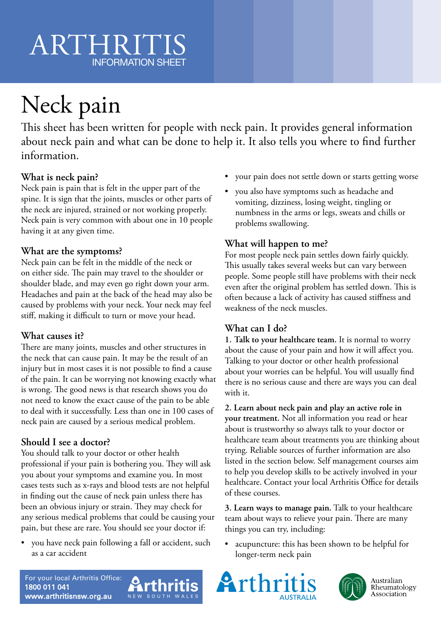## ARTHRIT INFORMATION SHEET

# Neck pain

This sheet has been written for people with neck pain. It provides general information about neck pain and what can be done to help it. It also tells you where to find further information.

#### **What is neck pain?**

Neck pain is pain that is felt in the upper part of the spine. It is sign that the joints, muscles or other parts of the neck are injured, strained or not working properly. Neck pain is very common with about one in 10 people having it at any given time.

#### **What are the symptoms?**

Neck pain can be felt in the middle of the neck or on either side. The pain may travel to the shoulder or shoulder blade, and may even go right down your arm. Headaches and pain at the back of the head may also be caused by problems with your neck. Your neck may feel stiff, making it difficult to turn or move your head.

#### **What causes it?**

There are many joints, muscles and other structures in the neck that can cause pain. It may be the result of an injury but in most cases it is not possible to find a cause of the pain. It can be worrying not knowing exactly what is wrong. The good news is that research shows you do not need to know the exact cause of the pain to be able to deal with it successfully. Less than one in 100 cases of neck pain are caused by a serious medical problem.

#### **Should I see a doctor?**

You should talk to your doctor or other health professional if your pain is bothering you. They will ask you about your symptoms and examine you. In most cases tests such as x-rays and blood tests are not helpful in finding out the cause of neck pain unless there has been an obvious injury or strain. They may check for any serious medical problems that could be causing your pain, but these are rare. You should see your doctor if:

• you have neck pain following a fall or accident, such as a car accident

- your pain does not settle down or starts getting worse
- you also have symptoms such as headache and vomiting, dizziness, losing weight, tingling or numbness in the arms or legs, sweats and chills or problems swallowing.

#### **What will happen to me?**

For most people neck pain settles down fairly quickly. This usually takes several weeks but can vary between people. Some people still have problems with their neck even after the original problem has settled down. This is often because a lack of activity has caused stiffness and weakness of the neck muscles.

#### **What can I do?**

**1. Talk to your healthcare team.** It is normal to worry about the cause of your pain and how it will affect you. Talking to your doctor or other health professional about your worries can be helpful. You will usually find there is no serious cause and there are ways you can deal with it.

**2. Learn about neck pain and play an active role in your treatment.** Not all information you read or hear about is trustworthy so always talk to your doctor or healthcare team about treatments you are thinking about trying. Reliable sources of further information are also listed in the section below. Self management courses aim to help you develop skills to be actively involved in your healthcare. Contact your local Arthritis Office for details of these courses.

**3. Learn ways to manage pain.** Talk to your healthcare team about ways to relieve your pain. There are many things you can try, including:

• acupuncture: this has been shown to be helpful for longer-term neck pain







Australian Rheumatology Association